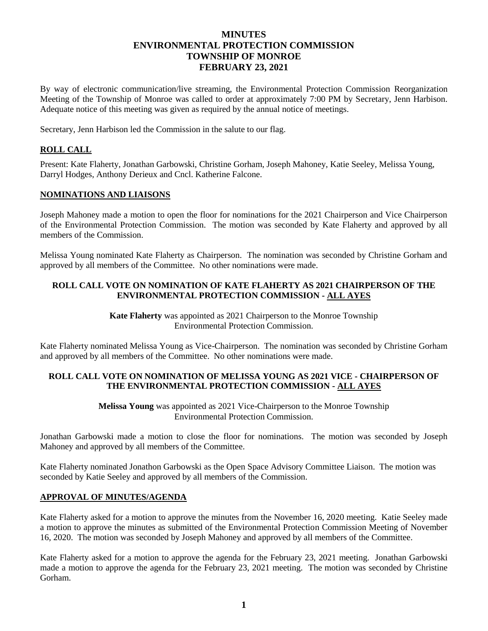# **MINUTES ENVIRONMENTAL PROTECTION COMMISSION TOWNSHIP OF MONROE FEBRUARY 23, 2021**

By way of electronic communication/live streaming, the Environmental Protection Commission Reorganization Meeting of the Township of Monroe was called to order at approximately 7:00 PM by Secretary, Jenn Harbison. Adequate notice of this meeting was given as required by the annual notice of meetings.

Secretary, Jenn Harbison led the Commission in the salute to our flag.

## **ROLL CALL**

Present: Kate Flaherty, Jonathan Garbowski, Christine Gorham, Joseph Mahoney, Katie Seeley, Melissa Young, Darryl Hodges, Anthony Derieux and Cncl. Katherine Falcone.

## **NOMINATIONS AND LIAISONS**

Joseph Mahoney made a motion to open the floor for nominations for the 2021 Chairperson and Vice Chairperson of the Environmental Protection Commission. The motion was seconded by Kate Flaherty and approved by all members of the Commission.

Melissa Young nominated Kate Flaherty as Chairperson. The nomination was seconded by Christine Gorham and approved by all members of the Committee. No other nominations were made.

## **ROLL CALL VOTE ON NOMINATION OF KATE FLAHERTY AS 2021 CHAIRPERSON OF THE ENVIRONMENTAL PROTECTION COMMISSION - ALL AYES**

**Kate Flaherty** was appointed as 2021 Chairperson to the Monroe Township Environmental Protection Commission.

Kate Flaherty nominated Melissa Young as Vice-Chairperson. The nomination was seconded by Christine Gorham and approved by all members of the Committee. No other nominations were made.

## **ROLL CALL VOTE ON NOMINATION OF MELISSA YOUNG AS 2021 VICE - CHAIRPERSON OF THE ENVIRONMENTAL PROTECTION COMMISSION - ALL AYES**

**Melissa Young** was appointed as 2021 Vice-Chairperson to the Monroe Township Environmental Protection Commission.

Jonathan Garbowski made a motion to close the floor for nominations. The motion was seconded by Joseph Mahoney and approved by all members of the Committee.

Kate Flaherty nominated Jonathon Garbowski as the Open Space Advisory Committee Liaison. The motion was seconded by Katie Seeley and approved by all members of the Commission.

## **APPROVAL OF MINUTES/AGENDA**

Kate Flaherty asked for a motion to approve the minutes from the November 16, 2020 meeting. Katie Seeley made a motion to approve the minutes as submitted of the Environmental Protection Commission Meeting of November 16, 2020. The motion was seconded by Joseph Mahoney and approved by all members of the Committee.

Kate Flaherty asked for a motion to approve the agenda for the February 23, 2021 meeting. Jonathan Garbowski made a motion to approve the agenda for the February 23, 2021 meeting. The motion was seconded by Christine Gorham.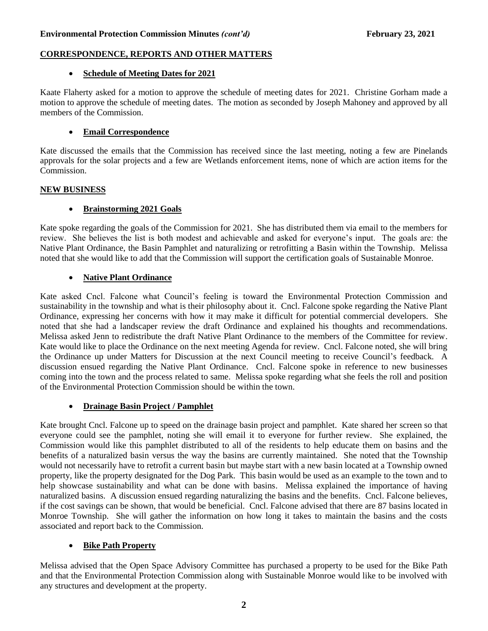#### **CORRESPONDENCE, REPORTS AND OTHER MATTERS**

#### • **Schedule of Meeting Dates for 2021**

Kaate Flaherty asked for a motion to approve the schedule of meeting dates for 2021. Christine Gorham made a motion to approve the schedule of meeting dates. The motion as seconded by Joseph Mahoney and approved by all members of the Commission.

## • **Email Correspondence**

Kate discussed the emails that the Commission has received since the last meeting, noting a few are Pinelands approvals for the solar projects and a few are Wetlands enforcement items, none of which are action items for the Commission.

#### **NEW BUSINESS**

## • **Brainstorming 2021 Goals**

Kate spoke regarding the goals of the Commission for 2021. She has distributed them via email to the members for review. She believes the list is both modest and achievable and asked for everyone's input. The goals are: the Native Plant Ordinance, the Basin Pamphlet and naturalizing or retrofitting a Basin within the Township. Melissa noted that she would like to add that the Commission will support the certification goals of Sustainable Monroe.

## • **Native Plant Ordinance**

Kate asked Cncl. Falcone what Council's feeling is toward the Environmental Protection Commission and sustainability in the township and what is their philosophy about it. Cncl. Falcone spoke regarding the Native Plant Ordinance, expressing her concerns with how it may make it difficult for potential commercial developers. She noted that she had a landscaper review the draft Ordinance and explained his thoughts and recommendations. Melissa asked Jenn to redistribute the draft Native Plant Ordinance to the members of the Committee for review. Kate would like to place the Ordinance on the next meeting Agenda for review. Cncl. Falcone noted, she will bring the Ordinance up under Matters for Discussion at the next Council meeting to receive Council's feedback. A discussion ensued regarding the Native Plant Ordinance. Cncl. Falcone spoke in reference to new businesses coming into the town and the process related to same. Melissa spoke regarding what she feels the roll and position of the Environmental Protection Commission should be within the town.

## • **Drainage Basin Project / Pamphlet**

Kate brought Cncl. Falcone up to speed on the drainage basin project and pamphlet. Kate shared her screen so that everyone could see the pamphlet, noting she will email it to everyone for further review. She explained, the Commission would like this pamphlet distributed to all of the residents to help educate them on basins and the benefits of a naturalized basin versus the way the basins are currently maintained. She noted that the Township would not necessarily have to retrofit a current basin but maybe start with a new basin located at a Township owned property, like the property designated for the Dog Park. This basin would be used as an example to the town and to help showcase sustainability and what can be done with basins. Melissa explained the importance of having naturalized basins. A discussion ensued regarding naturalizing the basins and the benefits. Cncl. Falcone believes, if the cost savings can be shown, that would be beneficial. Cncl. Falcone advised that there are 87 basins located in Monroe Township. She will gather the information on how long it takes to maintain the basins and the costs associated and report back to the Commission.

## • **Bike Path Property**

Melissa advised that the Open Space Advisory Committee has purchased a property to be used for the Bike Path and that the Environmental Protection Commission along with Sustainable Monroe would like to be involved with any structures and development at the property.